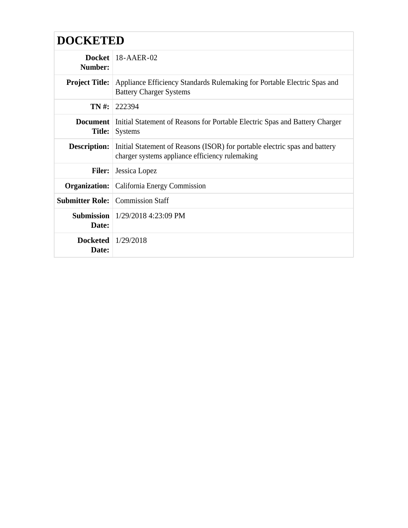| <b>DOCKETED</b>                  |                                                                                                                               |
|----------------------------------|-------------------------------------------------------------------------------------------------------------------------------|
| <b>Docket</b><br>Number:         | $18 - A AER - 02$                                                                                                             |
| <b>Project Title:</b>            | Appliance Efficiency Standards Rulemaking for Portable Electric Spas and<br><b>Battery Charger Systems</b>                    |
| TN #:                            | 222394                                                                                                                        |
| <b>Document</b><br><b>Title:</b> | Initial Statement of Reasons for Portable Electric Spas and Battery Charger<br><b>Systems</b>                                 |
| <b>Description:</b>              | Initial Statement of Reasons (ISOR) for portable electric spas and battery<br>charger systems appliance efficiency rulemaking |
| <b>Filer:</b>                    | Jessica Lopez                                                                                                                 |
| Organization:                    | California Energy Commission                                                                                                  |
|                                  | <b>Submitter Role:</b> Commission Staff                                                                                       |
| <b>Submission</b><br>Date:       | $1/29/2018$ 4:23:09 PM                                                                                                        |
| Docketed $1/29/2018$<br>Date:    |                                                                                                                               |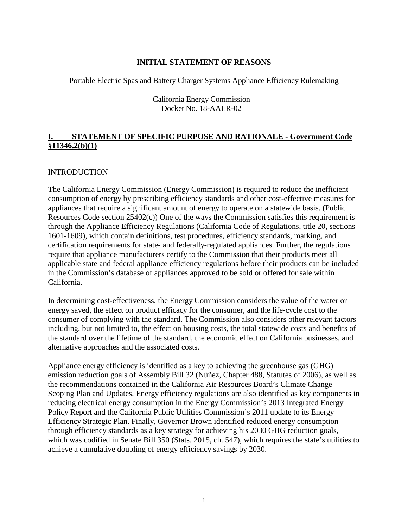## **INITIAL STATEMENT OF REASONS**

Portable Electric Spas and Battery Charger Systems Appliance Efficiency Rulemaking

#### California Energy Commission Docket No. 18-AAER-02

# **I. STATEMENT OF SPECIFIC PURPOSE AND RATIONALE - Government Code §11346.2(b)(1)**

#### **INTRODUCTION**

The California Energy Commission (Energy Commission) is required to reduce the inefficient consumption of energy by prescribing efficiency standards and other cost-effective measures for appliances that require a significant amount of energy to operate on a statewide basis. (Public Resources Code section 25402(c)) One of the ways the Commission satisfies this requirement is through the Appliance Efficiency Regulations (California Code of Regulations, title 20, sections 1601-1609), which contain definitions, test procedures, efficiency standards, marking, and certification requirements for state- and federally-regulated appliances. Further, the regulations require that appliance manufacturers certify to the Commission that their products meet all applicable state and federal appliance efficiency regulations before their products can be included in the Commission's database of appliances approved to be sold or offered for sale within California.

In determining cost-effectiveness, the Energy Commission considers the value of the water or energy saved, the effect on product efficacy for the consumer, and the life-cycle cost to the consumer of complying with the standard. The Commission also considers other relevant factors including, but not limited to, the effect on housing costs, the total statewide costs and benefits of the standard over the lifetime of the standard, the economic effect on California businesses, and alternative approaches and the associated costs.

Appliance energy efficiency is identified as a key to achieving the greenhouse gas (GHG) emission reduction goals of Assembly Bill 32 (Núñez, Chapter 488, Statutes of 2006), as well as the recommendations contained in the California Air Resources Board's Climate Change Scoping Plan and Updates. Energy efficiency regulations are also identified as key components in reducing electrical energy consumption in the Energy Commission's 2013 Integrated Energy Policy Report and the California Public Utilities Commission's 2011 update to its Energy Efficiency Strategic Plan. Finally, Governor Brown identified reduced energy consumption through efficiency standards as a key strategy for achieving his 2030 GHG reduction goals, which was codified in Senate Bill 350 (Stats. 2015, ch. 547), which requires the state's utilities to achieve a cumulative doubling of energy efficiency savings by 2030.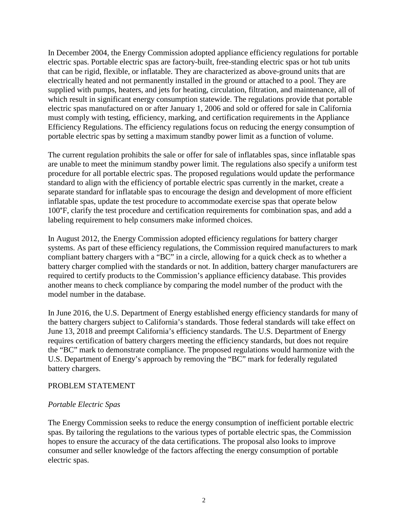In December 2004, the Energy Commission adopted appliance efficiency regulations for portable electric spas. Portable electric spas are factory-built, free-standing electric spas or hot tub units that can be rigid, flexible, or inflatable. They are characterized as above-ground units that are electrically heated and not permanently installed in the ground or attached to a pool. They are supplied with pumps, heaters, and jets for heating, circulation, filtration, and maintenance, all of which result in significant energy consumption statewide. The regulations provide that portable electric spas manufactured on or after January 1, 2006 and sold or offered for sale in California must comply with testing, efficiency, marking, and certification requirements in the Appliance Efficiency Regulations. The efficiency regulations focus on reducing the energy consumption of portable electric spas by setting a maximum standby power limit as a function of volume.

The current regulation prohibits the sale or offer for sale of inflatables spas, since inflatable spas are unable to meet the minimum standby power limit. The regulations also specify a uniform test procedure for all portable electric spas. The proposed regulations would update the performance standard to align with the efficiency of portable electric spas currently in the market, create a separate standard for inflatable spas to encourage the design and development of more efficient inflatable spas, update the test procedure to accommodate exercise spas that operate below 100°F, clarify the test procedure and certification requirements for combination spas, and add a labeling requirement to help consumers make informed choices.

In August 2012, the Energy Commission adopted efficiency regulations for battery charger systems. As part of these efficiency regulations, the Commission required manufacturers to mark compliant battery chargers with a "BC" in a circle, allowing for a quick check as to whether a battery charger complied with the standards or not. In addition, battery charger manufacturers are required to certify products to the Commission's appliance efficiency database. This provides another means to check compliance by comparing the model number of the product with the model number in the database.

In June 2016, the U.S. Department of Energy established energy efficiency standards for many of the battery chargers subject to California's standards. Those federal standards will take effect on June 13, 2018 and preempt California's efficiency standards. The U.S. Department of Energy requires certification of battery chargers meeting the efficiency standards, but does not require the "BC" mark to demonstrate compliance. The proposed regulations would harmonize with the U.S. Department of Energy's approach by removing the "BC" mark for federally regulated battery chargers.

#### PROBLEM STATEMENT

#### *Portable Electric Spas*

The Energy Commission seeks to reduce the energy consumption of inefficient portable electric spas. By tailoring the regulations to the various types of portable electric spas, the Commission hopes to ensure the accuracy of the data certifications. The proposal also looks to improve consumer and seller knowledge of the factors affecting the energy consumption of portable electric spas.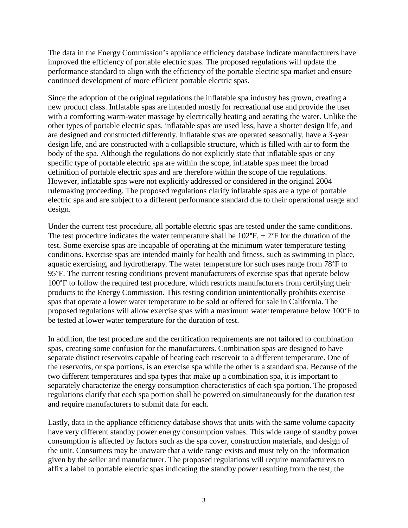The data in the Energy Commission's appliance efficiency database indicate manufacturers have improved the efficiency of portable electric spas. The proposed regulations will update the performance standard to align with the efficiency of the portable electric spa market and ensure continued development of more efficient portable electric spas.

Since the adoption of the original regulations the inflatable spa industry has grown, creating a new product class. Inflatable spas are intended mostly for recreational use and provide the user with a comforting warm-water massage by electrically heating and aerating the water. Unlike the other types of portable electric spas, inflatable spas are used less, have a shorter design life, and are designed and constructed differently. Inflatable spas are operated seasonally, have a 3-year design life, and are constructed with a collapsible structure, which is filled with air to form the body of the spa. Although the regulations do not explicitly state that inflatable spas or any specific type of portable electric spa are within the scope, inflatable spas meet the broad definition of portable electric spas and are therefore within the scope of the regulations. However, inflatable spas were not explicitly addressed or considered in the original 2004 rulemaking proceeding. The proposed regulations clarify inflatable spas are a type of portable electric spa and are subject to a different performance standard due to their operational usage and design.

Under the current test procedure, all portable electric spas are tested under the same conditions. The test procedure indicates the water temperature shall be  $102^{\circ}F$ ,  $\pm 2^{\circ}F$  for the duration of the test. Some exercise spas are incapable of operating at the minimum water temperature testing conditions. Exercise spas are intended mainly for health and fitness, such as swimming in place, aquatic exercising, and hydrotherapy. The water temperature for such uses range from 78°F to 95°F. The current testing conditions prevent manufacturers of exercise spas that operate below 100°F to follow the required test procedure, which restricts manufacturers from certifying their products to the Energy Commission. This testing condition unintentionally prohibits exercise spas that operate a lower water temperature to be sold or offered for sale in California. The proposed regulations will allow exercise spas with a maximum water temperature below 100°F to be tested at lower water temperature for the duration of test.

In addition, the test procedure and the certification requirements are not tailored to combination spas, creating some confusion for the manufacturers. Combination spas are designed to have separate distinct reservoirs capable of heating each reservoir to a different temperature. One of the reservoirs, or spa portions, is an exercise spa while the other is a standard spa. Because of the two different temperatures and spa types that make up a combination spa, it is important to separately characterize the energy consumption characteristics of each spa portion. The proposed regulations clarify that each spa portion shall be powered on simultaneously for the duration test and require manufacturers to submit data for each.

Lastly, data in the appliance efficiency database shows that units with the same volume capacity have very different standby power energy consumption values. This wide range of standby power consumption is affected by factors such as the spa cover, construction materials, and design of the unit. Consumers may be unaware that a wide range exists and must rely on the information given by the seller and manufacturer. The proposed regulations will require manufacturers to affix a label to portable electric spas indicating the standby power resulting from the test, the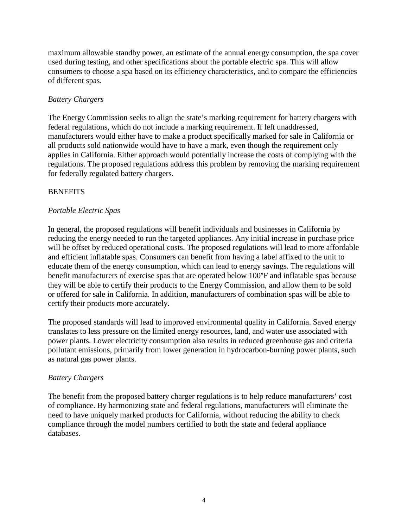maximum allowable standby power, an estimate of the annual energy consumption, the spa cover used during testing, and other specifications about the portable electric spa. This will allow consumers to choose a spa based on its efficiency characteristics, and to compare the efficiencies of different spas.

# *Battery Chargers*

The Energy Commission seeks to align the state's marking requirement for battery chargers with federal regulations, which do not include a marking requirement. If left unaddressed, manufacturers would either have to make a product specifically marked for sale in California or all products sold nationwide would have to have a mark, even though the requirement only applies in California. Either approach would potentially increase the costs of complying with the regulations. The proposed regulations address this problem by removing the marking requirement for federally regulated battery chargers.

## **BENEFITS**

## *Portable Electric Spas*

In general, the proposed regulations will benefit individuals and businesses in California by reducing the energy needed to run the targeted appliances. Any initial increase in purchase price will be offset by reduced operational costs. The proposed regulations will lead to more affordable and efficient inflatable spas. Consumers can benefit from having a label affixed to the unit to educate them of the energy consumption, which can lead to energy savings. The regulations will benefit manufacturers of exercise spas that are operated below 100°F and inflatable spas because they will be able to certify their products to the Energy Commission, and allow them to be sold or offered for sale in California. In addition, manufacturers of combination spas will be able to certify their products more accurately.

The proposed standards will lead to improved environmental quality in California. Saved energy translates to less pressure on the limited energy resources, land, and water use associated with power plants. Lower electricity consumption also results in reduced greenhouse gas and criteria pollutant emissions, primarily from lower generation in hydrocarbon-burning power plants, such as natural gas power plants.

#### *Battery Chargers*

The benefit from the proposed battery charger regulations is to help reduce manufacturers' cost of compliance. By harmonizing state and federal regulations, manufacturers will eliminate the need to have uniquely marked products for California, without reducing the ability to check compliance through the model numbers certified to both the state and federal appliance databases.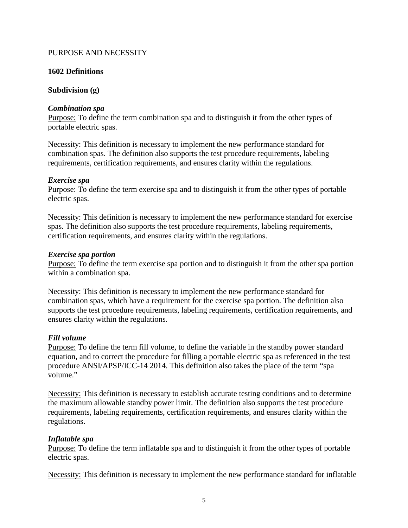## PURPOSE AND NECESSITY

## **1602 Definitions**

## **Subdivision (g)**

#### *Combination spa*

Purpose: To define the term combination spa and to distinguish it from the other types of portable electric spas.

Necessity: This definition is necessary to implement the new performance standard for combination spas. The definition also supports the test procedure requirements, labeling requirements, certification requirements, and ensures clarity within the regulations.

#### *Exercise spa*

Purpose: To define the term exercise spa and to distinguish it from the other types of portable electric spas.

Necessity: This definition is necessary to implement the new performance standard for exercise spas. The definition also supports the test procedure requirements, labeling requirements, certification requirements, and ensures clarity within the regulations.

#### *Exercise spa portion*

Purpose: To define the term exercise spa portion and to distinguish it from the other spa portion within a combination spa.

Necessity: This definition is necessary to implement the new performance standard for combination spas, which have a requirement for the exercise spa portion. The definition also supports the test procedure requirements, labeling requirements, certification requirements, and ensures clarity within the regulations.

#### *Fill volume*

Purpose: To define the term fill volume, to define the variable in the standby power standard equation, and to correct the procedure for filling a portable electric spa as referenced in the test procedure ANSI/APSP/ICC-14 2014. This definition also takes the place of the term "spa volume."

Necessity: This definition is necessary to establish accurate testing conditions and to determine the maximum allowable standby power limit. The definition also supports the test procedure requirements, labeling requirements, certification requirements, and ensures clarity within the regulations.

#### *Inflatable spa*

Purpose: To define the term inflatable spa and to distinguish it from the other types of portable electric spas.

Necessity: This definition is necessary to implement the new performance standard for inflatable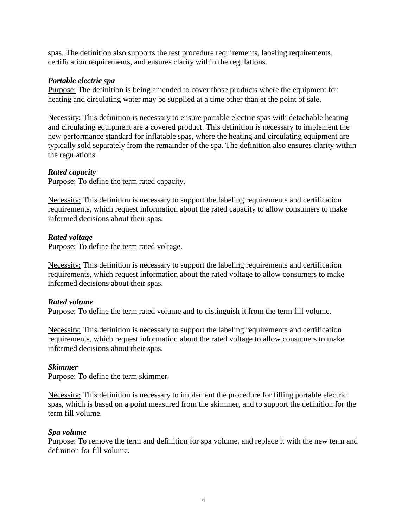spas. The definition also supports the test procedure requirements, labeling requirements, certification requirements, and ensures clarity within the regulations.

### *Portable electric spa*

Purpose: The definition is being amended to cover those products where the equipment for heating and circulating water may be supplied at a time other than at the point of sale.

Necessity: This definition is necessary to ensure portable electric spas with detachable heating and circulating equipment are a covered product. This definition is necessary to implement the new performance standard for inflatable spas, where the heating and circulating equipment are typically sold separately from the remainder of the spa. The definition also ensures clarity within the regulations.

## *Rated capacity*

Purpose: To define the term rated capacity.

Necessity: This definition is necessary to support the labeling requirements and certification requirements, which request information about the rated capacity to allow consumers to make informed decisions about their spas.

## *Rated voltage*

Purpose: To define the term rated voltage.

Necessity: This definition is necessary to support the labeling requirements and certification requirements, which request information about the rated voltage to allow consumers to make informed decisions about their spas.

# *Rated volume*

Purpose: To define the term rated volume and to distinguish it from the term fill volume.

Necessity: This definition is necessary to support the labeling requirements and certification requirements, which request information about the rated voltage to allow consumers to make informed decisions about their spas.

#### *Skimmer*

Purpose: To define the term skimmer.

Necessity: This definition is necessary to implement the procedure for filling portable electric spas, which is based on a point measured from the skimmer, and to support the definition for the term fill volume.

#### *Spa volume*

Purpose: To remove the term and definition for spa volume, and replace it with the new term and definition for fill volume.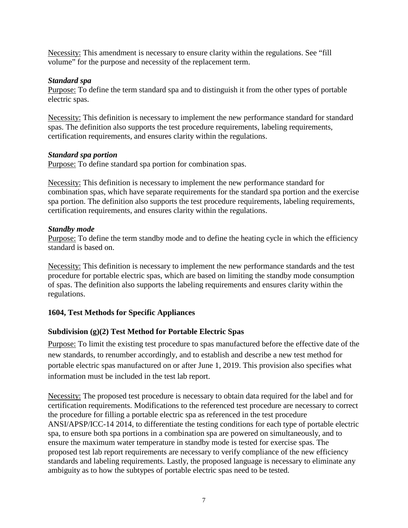Necessity: This amendment is necessary to ensure clarity within the regulations. See "fill volume" for the purpose and necessity of the replacement term.

## *Standard spa*

Purpose: To define the term standard spa and to distinguish it from the other types of portable electric spas.

Necessity: This definition is necessary to implement the new performance standard for standard spas. The definition also supports the test procedure requirements, labeling requirements, certification requirements, and ensures clarity within the regulations.

#### *Standard spa portion*

Purpose: To define standard spa portion for combination spas.

Necessity: This definition is necessary to implement the new performance standard for combination spas, which have separate requirements for the standard spa portion and the exercise spa portion. The definition also supports the test procedure requirements, labeling requirements, certification requirements, and ensures clarity within the regulations.

## *Standby mode*

Purpose: To define the term standby mode and to define the heating cycle in which the efficiency standard is based on.

Necessity: This definition is necessary to implement the new performance standards and the test procedure for portable electric spas, which are based on limiting the standby mode consumption of spas. The definition also supports the labeling requirements and ensures clarity within the regulations.

# **1604, Test Methods for Specific Appliances**

# **Subdivision (g)(2) Test Method for Portable Electric Spas**

Purpose: To limit the existing test procedure to spas manufactured before the effective date of the new standards, to renumber accordingly, and to establish and describe a new test method for portable electric spas manufactured on or after June 1, 2019. This provision also specifies what information must be included in the test lab report.

Necessity: The proposed test procedure is necessary to obtain data required for the label and for certification requirements. Modifications to the referenced test procedure are necessary to correct the procedure for filling a portable electric spa as referenced in the test procedure ANSI/APSP/ICC-14 2014, to differentiate the testing conditions for each type of portable electric spa, to ensure both spa portions in a combination spa are powered on simultaneously, and to ensure the maximum water temperature in standby mode is tested for exercise spas. The proposed test lab report requirements are necessary to verify compliance of the new efficiency standards and labeling requirements. Lastly, the proposed language is necessary to eliminate any ambiguity as to how the subtypes of portable electric spas need to be tested.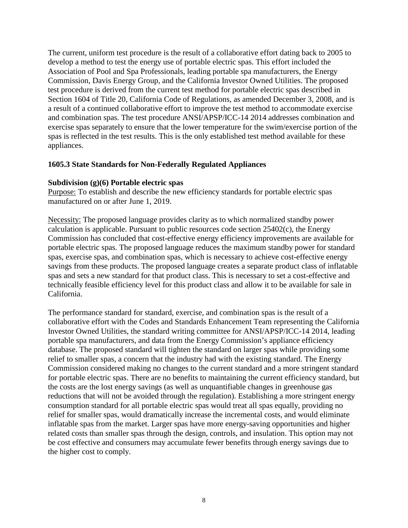The current, uniform test procedure is the result of a collaborative effort dating back to 2005 to develop a method to test the energy use of portable electric spas. This effort included the Association of Pool and Spa Professionals, leading portable spa manufacturers, the Energy Commission, Davis Energy Group, and the California Investor Owned Utilities. The proposed test procedure is derived from the current test method for portable electric spas described in Section 1604 of Title 20, California Code of Regulations, as amended December 3, 2008, and is a result of a continued collaborative effort to improve the test method to accommodate exercise and combination spas. The test procedure ANSI/APSP/ICC-14 2014 addresses combination and exercise spas separately to ensure that the lower temperature for the swim/exercise portion of the spas is reflected in the test results. This is the only established test method available for these appliances.

#### **1605.3 State Standards for Non-Federally Regulated Appliances**

#### **Subdivision (g)(6) Portable electric spas**

Purpose: To establish and describe the new efficiency standards for portable electric spas manufactured on or after June 1, 2019.

Necessity: The proposed language provides clarity as to which normalized standby power calculation is applicable. Pursuant to public resources code section  $25402(c)$ , the Energy Commission has concluded that cost-effective energy efficiency improvements are available for portable electric spas. The proposed language reduces the maximum standby power for standard spas, exercise spas, and combination spas, which is necessary to achieve cost-effective energy savings from these products. The proposed language creates a separate product class of inflatable spas and sets a new standard for that product class. This is necessary to set a cost-effective and technically feasible efficiency level for this product class and allow it to be available for sale in California.

The performance standard for standard, exercise, and combination spas is the result of a collaborative effort with the Codes and Standards Enhancement Team representing the California Investor Owned Utilities, the standard writing committee for ANSI/APSP/ICC-14 2014, leading portable spa manufacturers, and data from the Energy Commission's appliance efficiency database. The proposed standard will tighten the standard on larger spas while providing some relief to smaller spas, a concern that the industry had with the existing standard. The Energy Commission considered making no changes to the current standard and a more stringent standard for portable electric spas. There are no benefits to maintaining the current efficiency standard, but the costs are the lost energy savings (as well as unquantifiable changes in greenhouse gas reductions that will not be avoided through the regulation). Establishing a more stringent energy consumption standard for all portable electric spas would treat all spas equally, providing no relief for smaller spas, would dramatically increase the incremental costs, and would eliminate inflatable spas from the market. Larger spas have more energy-saving opportunities and higher related costs than smaller spas through the design, controls, and insulation. This option may not be cost effective and consumers may accumulate fewer benefits through energy savings due to the higher cost to comply.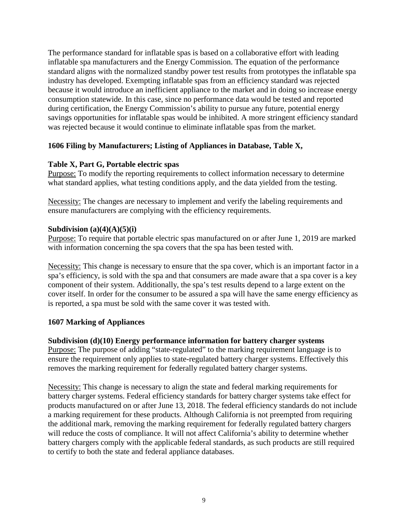The performance standard for inflatable spas is based on a collaborative effort with leading inflatable spa manufacturers and the Energy Commission. The equation of the performance standard aligns with the normalized standby power test results from prototypes the inflatable spa industry has developed. Exempting inflatable spas from an efficiency standard was rejected because it would introduce an inefficient appliance to the market and in doing so increase energy consumption statewide. In this case, since no performance data would be tested and reported during certification, the Energy Commission's ability to pursue any future, potential energy savings opportunities for inflatable spas would be inhibited. A more stringent efficiency standard was rejected because it would continue to eliminate inflatable spas from the market.

# **1606 Filing by Manufacturers; Listing of Appliances in Database, Table X,**

## **Table X, Part G, Portable electric spas**

Purpose: To modify the reporting requirements to collect information necessary to determine what standard applies, what testing conditions apply, and the data yielded from the testing.

Necessity: The changes are necessary to implement and verify the labeling requirements and ensure manufacturers are complying with the efficiency requirements.

#### **Subdivision (a)(4)(A)(5)(i)**

Purpose: To require that portable electric spas manufactured on or after June 1, 2019 are marked with information concerning the spa covers that the spa has been tested with.

Necessity: This change is necessary to ensure that the spa cover, which is an important factor in a spa's efficiency, is sold with the spa and that consumers are made aware that a spa cover is a key component of their system. Additionally, the spa's test results depend to a large extent on the cover itself. In order for the consumer to be assured a spa will have the same energy efficiency as is reported, a spa must be sold with the same cover it was tested with.

#### **1607 Marking of Appliances**

#### **Subdivision (d)(10) Energy performance information for battery charger systems**

Purpose: The purpose of adding "state-regulated" to the marking requirement language is to ensure the requirement only applies to state-regulated battery charger systems. Effectively this removes the marking requirement for federally regulated battery charger systems.

Necessity: This change is necessary to align the state and federal marking requirements for battery charger systems. Federal efficiency standards for battery charger systems take effect for products manufactured on or after June 13, 2018. The federal efficiency standards do not include a marking requirement for these products. Although California is not preempted from requiring the additional mark, removing the marking requirement for federally regulated battery chargers will reduce the costs of compliance. It will not affect California's ability to determine whether battery chargers comply with the applicable federal standards, as such products are still required to certify to both the state and federal appliance databases.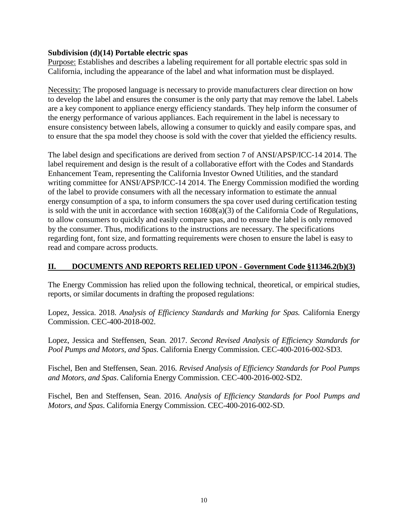### **Subdivision (d)(14) Portable electric spas**

Purpose: Establishes and describes a labeling requirement for all portable electric spas sold in California, including the appearance of the label and what information must be displayed.

Necessity: The proposed language is necessary to provide manufacturers clear direction on how to develop the label and ensures the consumer is the only party that may remove the label. Labels are a key component to appliance energy efficiency standards. They help inform the consumer of the energy performance of various appliances. Each requirement in the label is necessary to ensure consistency between labels, allowing a consumer to quickly and easily compare spas, and to ensure that the spa model they choose is sold with the cover that yielded the efficiency results.

The label design and specifications are derived from section 7 of ANSI/APSP/ICC-14 2014. The label requirement and design is the result of a collaborative effort with the Codes and Standards Enhancement Team, representing the California Investor Owned Utilities, and the standard writing committee for ANSI/APSP/ICC-14 2014. The Energy Commission modified the wording of the label to provide consumers with all the necessary information to estimate the annual energy consumption of a spa, to inform consumers the spa cover used during certification testing is sold with the unit in accordance with section 1608(a)(3) of the California Code of Regulations, to allow consumers to quickly and easily compare spas, and to ensure the label is only removed by the consumer. Thus, modifications to the instructions are necessary. The specifications regarding font, font size, and formatting requirements were chosen to ensure the label is easy to read and compare across products.

# **II. DOCUMENTS AND REPORTS RELIED UPON - Government Code §11346.2(b)(3)**

The Energy Commission has relied upon the following technical, theoretical, or empirical studies, reports, or similar documents in drafting the proposed regulations:

Lopez, Jessica. 2018. *Analysis of Efficiency Standards and Marking for Spas.* California Energy Commission. CEC-400-2018-002.

Lopez, Jessica and Steffensen, Sean. 2017. *Second Revised Analysis of Efficiency Standards for Pool Pumps and Motors, and Spas*. California Energy Commission. CEC-400-2016-002-SD3.

Fischel, Ben and Steffensen, Sean. 2016. *Revised Analysis of Efficiency Standards for Pool Pumps and Motors, and Spas*. California Energy Commission. CEC-400-2016-002-SD2.

Fischel, Ben and Steffensen, Sean. 2016. *Analysis of Efficiency Standards for Pool Pumps and Motors, and Spas*. California Energy Commission. CEC-400-2016-002-SD.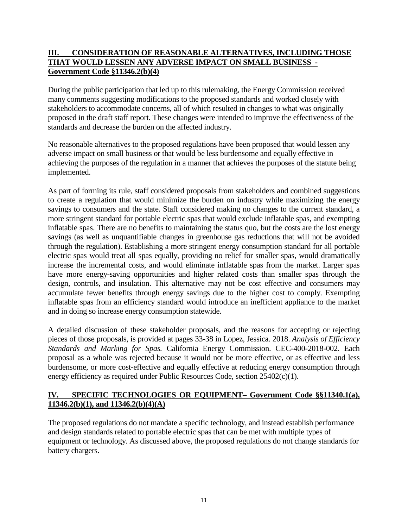# **III. CONSIDERATION OF REASONABLE ALTERNATIVES, INCLUDING THOSE THAT WOULD LESSEN ANY ADVERSE IMPACT ON SMALL BUSINESS - Government Code §11346.2(b)(4)**

During the public participation that led up to this rulemaking, the Energy Commission received many comments suggesting modifications to the proposed standards and worked closely with stakeholders to accommodate concerns, all of which resulted in changes to what was originally proposed in the draft staff report. These changes were intended to improve the effectiveness of the standards and decrease the burden on the affected industry.

No reasonable alternatives to the proposed regulations have been proposed that would lessen any adverse impact on small business or that would be less burdensome and equally effective in achieving the purposes of the regulation in a manner that achieves the purposes of the statute being implemented.

As part of forming its rule, staff considered proposals from stakeholders and combined suggestions to create a regulation that would minimize the burden on industry while maximizing the energy savings to consumers and the state. Staff considered making no changes to the current standard, a more stringent standard for portable electric spas that would exclude inflatable spas, and exempting inflatable spas. There are no benefits to maintaining the status quo, but the costs are the lost energy savings (as well as unquantifiable changes in greenhouse gas reductions that will not be avoided through the regulation). Establishing a more stringent energy consumption standard for all portable electric spas would treat all spas equally, providing no relief for smaller spas, would dramatically increase the incremental costs, and would eliminate inflatable spas from the market. Larger spas have more energy-saving opportunities and higher related costs than smaller spas through the design, controls, and insulation. This alternative may not be cost effective and consumers may accumulate fewer benefits through energy savings due to the higher cost to comply. Exempting inflatable spas from an efficiency standard would introduce an inefficient appliance to the market and in doing so increase energy consumption statewide.

A detailed discussion of these stakeholder proposals, and the reasons for accepting or rejecting pieces of those proposals, is provided at pages 33-38 in Lopez, Jessica. 2018. *Analysis of Efficiency Standards and Marking for Spas.* California Energy Commission. CEC-400-2018-002. Each proposal as a whole was rejected because it would not be more effective, or as effective and less burdensome, or more cost-effective and equally effective at reducing energy consumption through energy efficiency as required under Public Resources Code, section 25402(c)(1).

# **IV. SPECIFIC TECHNOLOGIES OR EQUIPMENT– Government Code §§11340.1(a), 11346.2(b)(1), and 11346.2(b)(4)(A)**

The proposed regulations do not mandate a specific technology, and instead establish performance and design standards related to portable electric spas that can be met with multiple types of equipment or technology. As discussed above, the proposed regulations do not change standards for battery chargers.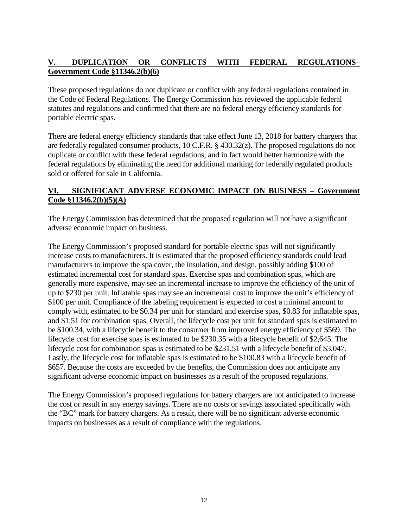# **V. DUPLICATION OR CONFLICTS WITH FEDERAL REGULATIONS– Government Code §11346.2(b)(6)**

These proposed regulations do not duplicate or conflict with any federal regulations contained in the Code of Federal Regulations. The Energy Commission has reviewed the applicable federal statutes and regulations and confirmed that there are no federal energy efficiency standards for portable electric spas.

There are federal energy efficiency standards that take effect June 13, 2018 for battery chargers that are federally regulated consumer products, 10 C.F.R. § 430.32(z). The proposed regulations do not duplicate or conflict with these federal regulations, and in fact would better harmonize with the federal regulations by eliminating the need for additional marking for federally regulated products sold or offered for sale in California.

# **VI. SIGNIFICANT ADVERSE ECONOMIC IMPACT ON BUSINESS – Government Code §11346.2(b)(5)(A)**

The Energy Commission has determined that the proposed regulation will not have a significant adverse economic impact on business.

The Energy Commission's proposed standard for portable electric spas will not significantly increase costs to manufacturers. It is estimated that the proposed efficiency standards could lead manufacturers to improve the spa cover, the insulation, and design, possibly adding \$100 of estimated incremental cost for standard spas. Exercise spas and combination spas, which are generally more expensive, may see an incremental increase to improve the efficiency of the unit of up to \$230 per unit. Inflatable spas may see an incremental cost to improve the unit's efficiency of \$100 per unit. Compliance of the labeling requirement is expected to cost a minimal amount to comply with, estimated to be \$0.34 per unit for standard and exercise spas, \$0.83 for inflatable spas, and \$1.51 for combination spas. Overall, the lifecycle cost per unit for standard spas is estimated to be \$100.34, with a lifecycle benefit to the consumer from improved energy efficiency of \$569. The lifecycle cost for exercise spas is estimated to be \$230.35 with a lifecycle benefit of \$2,645. The lifecycle cost for combination spas is estimated to be \$231.51 with a lifecycle benefit of \$3,047. Lastly, the lifecycle cost for inflatable spas is estimated to be \$100.83 with a lifecycle benefit of \$657. Because the costs are exceeded by the benefits, the Commission does not anticipate any significant adverse economic impact on businesses as a result of the proposed regulations.

The Energy Commission's proposed regulations for battery chargers are not anticipated to increase the cost or result in any energy savings. There are no costs or savings associated specifically with the "BC" mark for battery chargers. As a result, there will be no significant adverse economic impacts on businesses as a result of compliance with the regulations.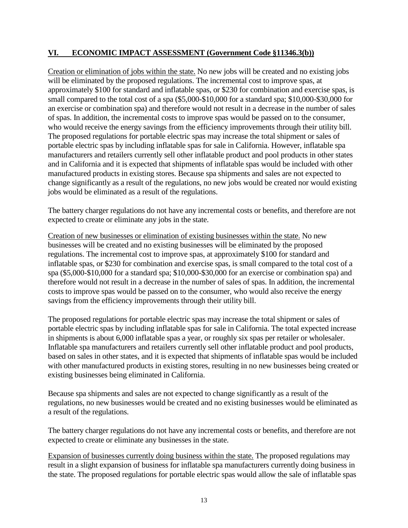# **VI. ECONOMIC IMPACT ASSESSMENT (Government Code §11346.3(b))**

Creation or elimination of jobs within the state. No new jobs will be created and no existing jobs will be eliminated by the proposed regulations. The incremental cost to improve spas, at approximately \$100 for standard and inflatable spas, or \$230 for combination and exercise spas, is small compared to the total cost of a spa (\$5,000-\$10,000 for a standard spa; \$10,000-\$30,000 for an exercise or combination spa) and therefore would not result in a decrease in the number of sales of spas. In addition, the incremental costs to improve spas would be passed on to the consumer, who would receive the energy savings from the efficiency improvements through their utility bill. The proposed regulations for portable electric spas may increase the total shipment or sales of portable electric spas by including inflatable spas for sale in California. However, inflatable spa manufacturers and retailers currently sell other inflatable product and pool products in other states and in California and it is expected that shipments of inflatable spas would be included with other manufactured products in existing stores. Because spa shipments and sales are not expected to change significantly as a result of the regulations, no new jobs would be created nor would existing jobs would be eliminated as a result of the regulations.

The battery charger regulations do not have any incremental costs or benefits, and therefore are not expected to create or eliminate any jobs in the state.

Creation of new businesses or elimination of existing businesses within the state. No new businesses will be created and no existing businesses will be eliminated by the proposed regulations. The incremental cost to improve spas, at approximately \$100 for standard and inflatable spas, or \$230 for combination and exercise spas, is small compared to the total cost of a spa (\$5,000-\$10,000 for a standard spa; \$10,000-\$30,000 for an exercise or combination spa) and therefore would not result in a decrease in the number of sales of spas. In addition, the incremental costs to improve spas would be passed on to the consumer, who would also receive the energy savings from the efficiency improvements through their utility bill.

The proposed regulations for portable electric spas may increase the total shipment or sales of portable electric spas by including inflatable spas for sale in California. The total expected increase in shipments is about 6,000 inflatable spas a year, or roughly six spas per retailer or wholesaler. Inflatable spa manufacturers and retailers currently sell other inflatable product and pool products, based on sales in other states, and it is expected that shipments of inflatable spas would be included with other manufactured products in existing stores, resulting in no new businesses being created or existing businesses being eliminated in California.

Because spa shipments and sales are not expected to change significantly as a result of the regulations, no new businesses would be created and no existing businesses would be eliminated as a result of the regulations.

The battery charger regulations do not have any incremental costs or benefits, and therefore are not expected to create or eliminate any businesses in the state.

Expansion of businesses currently doing business within the state. The proposed regulations may result in a slight expansion of business for inflatable spa manufacturers currently doing business in the state. The proposed regulations for portable electric spas would allow the sale of inflatable spas